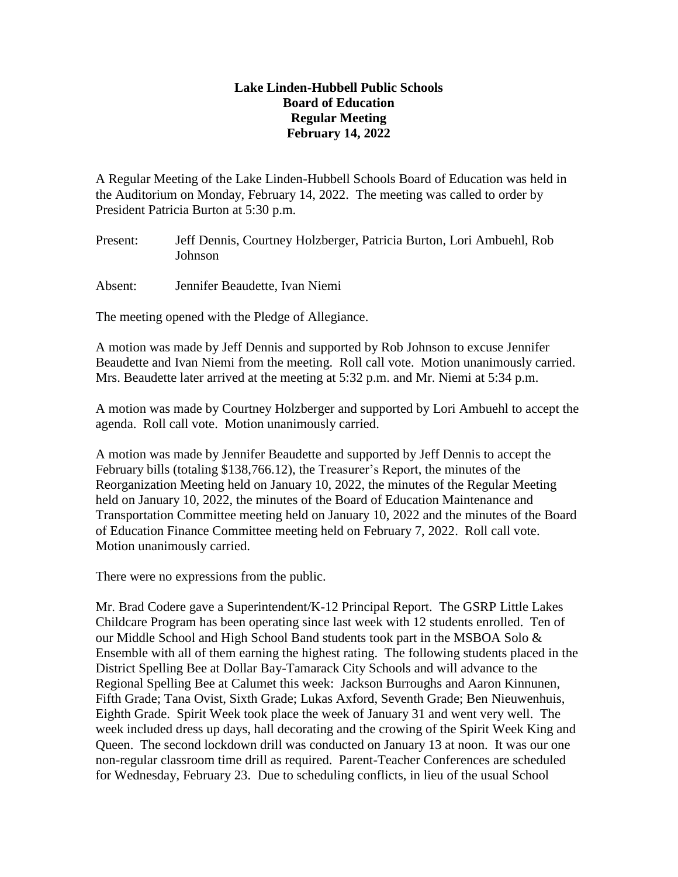## **Lake Linden-Hubbell Public Schools Board of Education Regular Meeting February 14, 2022**

A Regular Meeting of the Lake Linden-Hubbell Schools Board of Education was held in the Auditorium on Monday, February 14, 2022. The meeting was called to order by President Patricia Burton at 5:30 p.m.

Present: Jeff Dennis, Courtney Holzberger, Patricia Burton, Lori Ambuehl, Rob Johnson

Absent: Jennifer Beaudette, Ivan Niemi

The meeting opened with the Pledge of Allegiance.

A motion was made by Jeff Dennis and supported by Rob Johnson to excuse Jennifer Beaudette and Ivan Niemi from the meeting. Roll call vote. Motion unanimously carried. Mrs. Beaudette later arrived at the meeting at 5:32 p.m. and Mr. Niemi at 5:34 p.m.

A motion was made by Courtney Holzberger and supported by Lori Ambuehl to accept the agenda. Roll call vote. Motion unanimously carried.

A motion was made by Jennifer Beaudette and supported by Jeff Dennis to accept the February bills (totaling \$138,766.12), the Treasurer's Report, the minutes of the Reorganization Meeting held on January 10, 2022, the minutes of the Regular Meeting held on January 10, 2022, the minutes of the Board of Education Maintenance and Transportation Committee meeting held on January 10, 2022 and the minutes of the Board of Education Finance Committee meeting held on February 7, 2022. Roll call vote. Motion unanimously carried.

There were no expressions from the public.

Mr. Brad Codere gave a Superintendent/K-12 Principal Report. The GSRP Little Lakes Childcare Program has been operating since last week with 12 students enrolled. Ten of our Middle School and High School Band students took part in the MSBOA Solo & Ensemble with all of them earning the highest rating. The following students placed in the District Spelling Bee at Dollar Bay-Tamarack City Schools and will advance to the Regional Spelling Bee at Calumet this week: Jackson Burroughs and Aaron Kinnunen, Fifth Grade; Tana Ovist, Sixth Grade; Lukas Axford, Seventh Grade; Ben Nieuwenhuis, Eighth Grade. Spirit Week took place the week of January 31 and went very well. The week included dress up days, hall decorating and the crowing of the Spirit Week King and Queen. The second lockdown drill was conducted on January 13 at noon. It was our one non-regular classroom time drill as required. Parent-Teacher Conferences are scheduled for Wednesday, February 23. Due to scheduling conflicts, in lieu of the usual School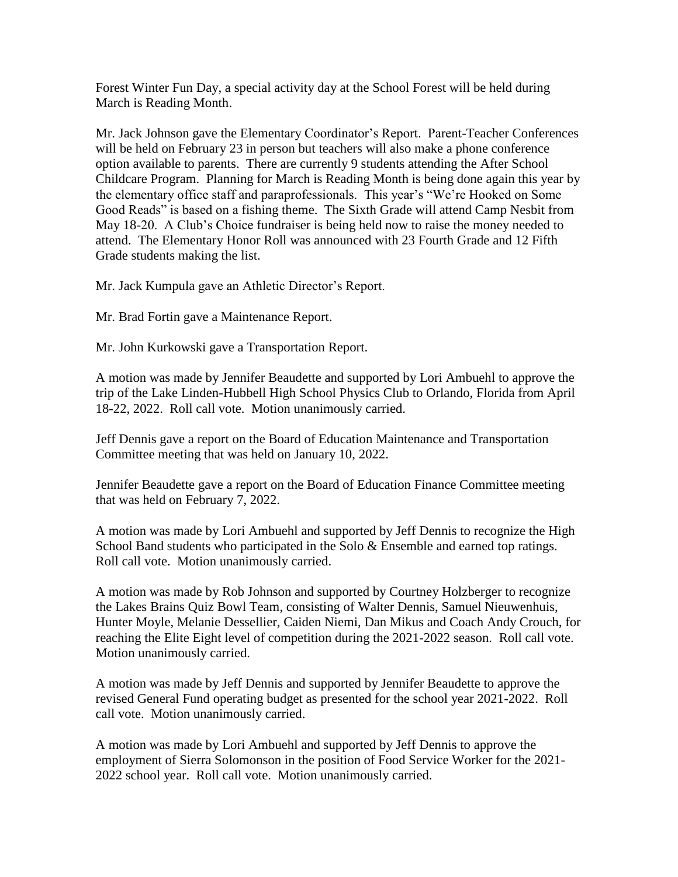Forest Winter Fun Day, a special activity day at the School Forest will be held during March is Reading Month.

Mr. Jack Johnson gave the Elementary Coordinator's Report. Parent-Teacher Conferences will be held on February 23 in person but teachers will also make a phone conference option available to parents. There are currently 9 students attending the After School Childcare Program. Planning for March is Reading Month is being done again this year by the elementary office staff and paraprofessionals. This year's "We're Hooked on Some Good Reads" is based on a fishing theme. The Sixth Grade will attend Camp Nesbit from May 18-20. A Club's Choice fundraiser is being held now to raise the money needed to attend. The Elementary Honor Roll was announced with 23 Fourth Grade and 12 Fifth Grade students making the list.

Mr. Jack Kumpula gave an Athletic Director's Report.

Mr. Brad Fortin gave a Maintenance Report.

Mr. John Kurkowski gave a Transportation Report.

A motion was made by Jennifer Beaudette and supported by Lori Ambuehl to approve the trip of the Lake Linden-Hubbell High School Physics Club to Orlando, Florida from April 18-22, 2022. Roll call vote. Motion unanimously carried.

Jeff Dennis gave a report on the Board of Education Maintenance and Transportation Committee meeting that was held on January 10, 2022.

Jennifer Beaudette gave a report on the Board of Education Finance Committee meeting that was held on February 7, 2022.

A motion was made by Lori Ambuehl and supported by Jeff Dennis to recognize the High School Band students who participated in the Solo & Ensemble and earned top ratings. Roll call vote. Motion unanimously carried.

A motion was made by Rob Johnson and supported by Courtney Holzberger to recognize the Lakes Brains Quiz Bowl Team, consisting of Walter Dennis, Samuel Nieuwenhuis, Hunter Moyle, Melanie Dessellier, Caiden Niemi, Dan Mikus and Coach Andy Crouch, for reaching the Elite Eight level of competition during the 2021-2022 season. Roll call vote. Motion unanimously carried.

A motion was made by Jeff Dennis and supported by Jennifer Beaudette to approve the revised General Fund operating budget as presented for the school year 2021-2022. Roll call vote. Motion unanimously carried.

A motion was made by Lori Ambuehl and supported by Jeff Dennis to approve the employment of Sierra Solomonson in the position of Food Service Worker for the 2021- 2022 school year. Roll call vote. Motion unanimously carried.